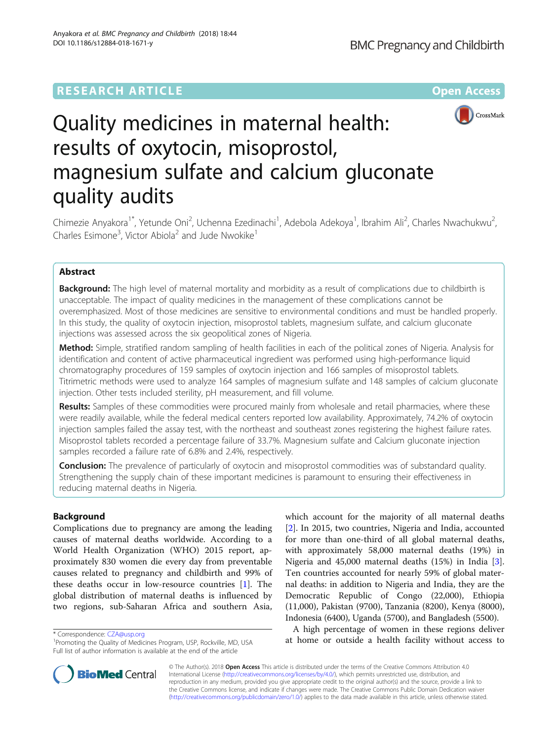## **RESEARCH ARTICLE Example 2018 12:00 Department of the CONNECTION CONNECTION CONNECTION CONNECTION CONNECTION**



# Quality medicines in maternal health: results of oxytocin, misoprostol, magnesium sulfate and calcium gluconate quality audits

Chimezie Anyakora<sup>1\*</sup>, Yetunde Oni<sup>2</sup>, Uchenna Ezedinachi<sup>1</sup>, Adebola Adekoya<sup>1</sup>, Ibrahim Ali<sup>2</sup>, Charles Nwachukwu<sup>2</sup> .<br>, Charles Esimone<sup>3</sup>, Victor Abiola<sup>2</sup> and Jude Nwokike<sup>1</sup>

## Abstract

**Background:** The high level of maternal mortality and morbidity as a result of complications due to childbirth is unacceptable. The impact of quality medicines in the management of these complications cannot be overemphasized. Most of those medicines are sensitive to environmental conditions and must be handled properly. In this study, the quality of oxytocin injection, misoprostol tablets, magnesium sulfate, and calcium gluconate injections was assessed across the six geopolitical zones of Nigeria.

Method: Simple, stratified random sampling of health facilities in each of the political zones of Nigeria. Analysis for identification and content of active pharmaceutical ingredient was performed using high-performance liquid chromatography procedures of 159 samples of oxytocin injection and 166 samples of misoprostol tablets. Titrimetric methods were used to analyze 164 samples of magnesium sulfate and 148 samples of calcium gluconate injection. Other tests included sterility, pH measurement, and fill volume.

Results: Samples of these commodities were procured mainly from wholesale and retail pharmacies, where these were readily available, while the federal medical centers reported low availability. Approximately, 74.2% of oxytocin injection samples failed the assay test, with the northeast and southeast zones registering the highest failure rates. Misoprostol tablets recorded a percentage failure of 33.7%. Magnesium sulfate and Calcium gluconate injection samples recorded a failure rate of 6.8% and 2.4%, respectively.

**Conclusion:** The prevalence of particularly of oxytocin and misoprostol commodities was of substandard quality. Strengthening the supply chain of these important medicines is paramount to ensuring their effectiveness in reducing maternal deaths in Nigeria.

## Background

Complications due to pregnancy are among the leading causes of maternal deaths worldwide. According to a World Health Organization (WHO) 2015 report, approximately 830 women die every day from preventable causes related to pregnancy and childbirth and 99% of these deaths occur in low-resource countries [\[1](#page-10-0)]. The global distribution of maternal deaths is influenced by two regions, sub-Saharan Africa and southern Asia,

which account for the majority of all maternal deaths [[2\]](#page-10-0). In 2015, two countries, Nigeria and India, accounted for more than one-third of all global maternal deaths, with approximately 58,000 maternal deaths (19%) in Nigeria and 45,000 maternal deaths (15%) in India [\[3](#page-10-0)]. Ten countries accounted for nearly 59% of global maternal deaths: in addition to Nigeria and India, they are the Democratic Republic of Congo (22,000), Ethiopia (11,000), Pakistan (9700), Tanzania (8200), Kenya (8000), Indonesia (6400), Uganda (5700), and Bangladesh (5500).

A high percentage of women in these regions deliver at home or outside a health facility without access to \* Correspondence: [CZA@usp.org](mailto:CZA@usp.org) <sup>1</sup>



© The Author(s). 2018 Open Access This article is distributed under the terms of the Creative Commons Attribution 4.0 International License [\(http://creativecommons.org/licenses/by/4.0/](http://creativecommons.org/licenses/by/4.0/)), which permits unrestricted use, distribution, and reproduction in any medium, provided you give appropriate credit to the original author(s) and the source, provide a link to the Creative Commons license, and indicate if changes were made. The Creative Commons Public Domain Dedication waiver [\(http://creativecommons.org/publicdomain/zero/1.0/](http://creativecommons.org/publicdomain/zero/1.0/)) applies to the data made available in this article, unless otherwise stated.

<sup>&</sup>lt;sup>1</sup> Promoting the Quality of Medicines Program, USP, Rockville, MD, USA Full list of author information is available at the end of the article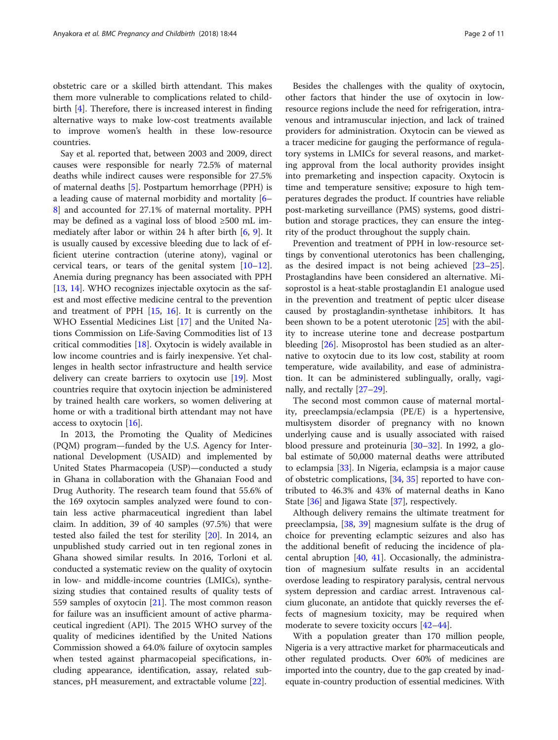obstetric care or a skilled birth attendant. This makes them more vulnerable to complications related to childbirth [[4\]](#page-10-0). Therefore, there is increased interest in finding alternative ways to make low-cost treatments available to improve women's health in these low-resource countries.

Say et al. reported that, between 2003 and 2009, direct causes were responsible for nearly 72.5% of maternal deaths while indirect causes were responsible for 27.5% of maternal deaths [[5\]](#page-10-0). Postpartum hemorrhage (PPH) is a leading cause of maternal morbidity and mortality [[6](#page-10-0)– [8\]](#page-10-0) and accounted for 27.1% of maternal mortality. PPH may be defined as a vaginal loss of blood ≥500 mL immediately after labor or within 24 h after birth [\[6](#page-10-0), [9](#page-10-0)]. It is usually caused by excessive bleeding due to lack of efficient uterine contraction (uterine atony), vaginal or cervical tears, or tears of the genital system  $[10-12]$  $[10-12]$  $[10-12]$  $[10-12]$  $[10-12]$ . Anemia during pregnancy has been associated with PPH [[13,](#page-10-0) [14\]](#page-10-0). WHO recognizes injectable oxytocin as the safest and most effective medicine central to the prevention and treatment of PPH [[15,](#page-10-0) [16\]](#page-10-0). It is currently on the WHO Essential Medicines List [[17\]](#page-10-0) and the United Nations Commission on Life-Saving Commodities list of 13 critical commodities [[18\]](#page-10-0). Oxytocin is widely available in low income countries and is fairly inexpensive. Yet challenges in health sector infrastructure and health service delivery can create barriers to oxytocin use [[19\]](#page-10-0). Most countries require that oxytocin injection be administered by trained health care workers, so women delivering at home or with a traditional birth attendant may not have access to oxytocin [\[16\]](#page-10-0).

In 2013, the Promoting the Quality of Medicines (PQM) program—funded by the U.S. Agency for International Development (USAID) and implemented by United States Pharmacopeia (USP)—conducted a study in Ghana in collaboration with the Ghanaian Food and Drug Authority. The research team found that 55.6% of the 169 oxytocin samples analyzed were found to contain less active pharmaceutical ingredient than label claim. In addition, 39 of 40 samples (97.5%) that were tested also failed the test for sterility [[20\]](#page-10-0). In 2014, an unpublished study carried out in ten regional zones in Ghana showed similar results. In 2016, Torloni et al. conducted a systematic review on the quality of oxytocin in low- and middle-income countries (LMICs), synthesizing studies that contained results of quality tests of 559 samples of oxytocin [[21\]](#page-10-0). The most common reason for failure was an insufficient amount of active pharmaceutical ingredient (API). The 2015 WHO survey of the quality of medicines identified by the United Nations Commission showed a 64.0% failure of oxytocin samples when tested against pharmacopeial specifications, including appearance, identification, assay, related substances, pH measurement, and extractable volume [\[22](#page-10-0)].

Besides the challenges with the quality of oxytocin, other factors that hinder the use of oxytocin in lowresource regions include the need for refrigeration, intravenous and intramuscular injection, and lack of trained providers for administration. Oxytocin can be viewed as a tracer medicine for gauging the performance of regulatory systems in LMICs for several reasons, and marketing approval from the local authority provides insight into premarketing and inspection capacity. Oxytocin is time and temperature sensitive; exposure to high temperatures degrades the product. If countries have reliable post-marketing surveillance (PMS) systems, good distribution and storage practices, they can ensure the integrity of the product throughout the supply chain.

Prevention and treatment of PPH in low-resource settings by conventional uterotonics has been challenging, as the desired impact is not being achieved [[23](#page-10-0)–[25](#page-10-0)]. Prostaglandins have been considered an alternative. Misoprostol is a heat-stable prostaglandin E1 analogue used in the prevention and treatment of peptic ulcer disease caused by prostaglandin-synthetase inhibitors. It has been shown to be a potent uterotonic [\[25\]](#page-10-0) with the ability to increase uterine tone and decrease postpartum bleeding [[26\]](#page-10-0). Misoprostol has been studied as an alternative to oxytocin due to its low cost, stability at room temperature, wide availability, and ease of administration. It can be administered sublingually, orally, vaginally, and rectally [[27](#page-10-0)–[29](#page-10-0)].

The second most common cause of maternal mortality, preeclampsia/eclampsia (PE/E) is a hypertensive, multisystem disorder of pregnancy with no known underlying cause and is usually associated with raised blood pressure and proteinuria [\[30](#page-10-0)–[32\]](#page-10-0). In 1992, a global estimate of 50,000 maternal deaths were attributed to eclampsia [[33\]](#page-10-0). In Nigeria, eclampsia is a major cause of obstetric complications, [\[34,](#page-10-0) [35\]](#page-10-0) reported to have contributed to 46.3% and 43% of maternal deaths in Kano State [[36\]](#page-10-0) and Jigawa State [\[37\]](#page-10-0), respectively.

Although delivery remains the ultimate treatment for preeclampsia, [\[38](#page-10-0), [39\]](#page-10-0) magnesium sulfate is the drug of choice for preventing eclamptic seizures and also has the additional benefit of reducing the incidence of placental abruption  $[40, 41]$  $[40, 41]$  $[40, 41]$  $[40, 41]$ . Occasionally, the administration of magnesium sulfate results in an accidental overdose leading to respiratory paralysis, central nervous system depression and cardiac arrest. Intravenous calcium gluconate, an antidote that quickly reverses the effects of magnesium toxicity, may be required when moderate to severe toxicity occurs [[42](#page-10-0)–[44](#page-10-0)].

With a population greater than 170 million people, Nigeria is a very attractive market for pharmaceuticals and other regulated products. Over 60% of medicines are imported into the country, due to the gap created by inadequate in-country production of essential medicines. With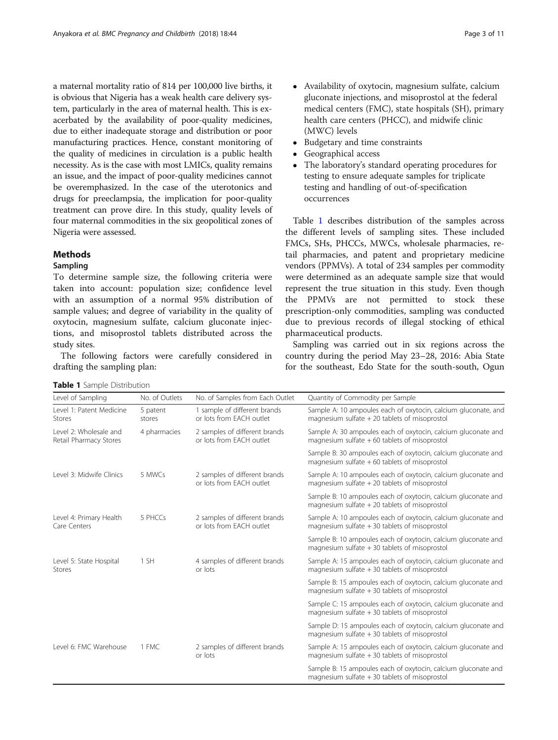a maternal mortality ratio of 814 per 100,000 live births, it is obvious that Nigeria has a weak health care delivery system, particularly in the area of maternal health. This is exacerbated by the availability of poor-quality medicines, due to either inadequate storage and distribution or poor manufacturing practices. Hence, constant monitoring of the quality of medicines in circulation is a public health necessity. As is the case with most LMICs, quality remains an issue, and the impact of poor-quality medicines cannot be overemphasized. In the case of the uterotonics and drugs for preeclampsia, the implication for poor-quality treatment can prove dire. In this study, quality levels of four maternal commodities in the six geopolitical zones of Nigeria were assessed.

## Methods

## Sampling

To determine sample size, the following criteria were taken into account: population size; confidence level with an assumption of a normal 95% distribution of sample values; and degree of variability in the quality of oxytocin, magnesium sulfate, calcium gluconate injections, and misoprostol tablets distributed across the study sites.

The following factors were carefully considered in drafting the sampling plan:

Table 1 Sample Distribution

- Availability of oxytocin, magnesium sulfate, calcium gluconate injections, and misoprostol at the federal medical centers (FMC), state hospitals (SH), primary health care centers (PHCC), and midwife clinic (MWC) levels
- Budgetary and time constraints<br>• Geographical access
- Geographical access
- The laboratory's standard operating procedures for testing to ensure adequate samples for triplicate testing and handling of out-of-specification occurrences

Table 1 describes distribution of the samples across the different levels of sampling sites. These included FMCs, SHs, PHCCs, MWCs, wholesale pharmacies, retail pharmacies, and patent and proprietary medicine vendors (PPMVs). A total of 234 samples per commodity were determined as an adequate sample size that would represent the true situation in this study. Even though the PPMVs are not permitted to stock these prescription-only commodities, sampling was conducted due to previous records of illegal stocking of ethical pharmaceutical products.

Sampling was carried out in six regions across the country during the period May 23–28, 2016: Abia State for the southeast, Edo State for the south-south, Ogun

| Level of Sampling                                | No. of Outlets     | No. of Samples from Each Outlet                           | Quantity of Commodity per Sample                                                                                 |
|--------------------------------------------------|--------------------|-----------------------------------------------------------|------------------------------------------------------------------------------------------------------------------|
| Level 1: Patent Medicine<br><b>Stores</b>        | 5 patent<br>stores | 1 sample of different brands<br>or lots from EACH outlet  | Sample A: 10 ampoules each of oxytocin, calcium gluconate, and<br>magnesium sulfate $+20$ tablets of misoprostol |
| Level 2: Wholesale and<br>Retail Pharmacy Stores | 4 pharmacies       | 2 samples of different brands<br>or lots from FACH outlet | Sample A: 30 ampoules each of oxytocin, calcium gluconate and<br>magnesium sulfate $+60$ tablets of misoprostol  |
|                                                  |                    |                                                           | Sample B: 30 ampoules each of oxytocin, calcium gluconate and<br>magnesium sulfate $+60$ tablets of misoprostol  |
| Level 3: Midwife Clinics                         | 5 MWCs             | 2 samples of different brands<br>or lots from EACH outlet | Sample A: 10 ampoules each of oxytocin, calcium gluconate and<br>magnesium sulfate $+20$ tablets of misoprostol  |
|                                                  |                    |                                                           | Sample B: 10 ampoules each of oxytocin, calcium gluconate and<br>magnesium sulfate $+20$ tablets of misoprostol  |
| Level 4: Primary Health<br>Care Centers          | 5 PHCCs            | 2 samples of different brands<br>or lots from EACH outlet | Sample A: 10 ampoules each of oxytocin, calcium gluconate and<br>magnesium sulfate $+30$ tablets of misoprostol  |
|                                                  |                    |                                                           | Sample B: 10 ampoules each of oxytocin, calcium gluconate and<br>magnesium sulfate $+30$ tablets of misoprostol  |
| Level 5: State Hospital<br>Stores                | 1 SH               | 4 samples of different brands<br>or lots                  | Sample A: 15 ampoules each of oxytocin, calcium gluconate and<br>magnesium sulfate $+30$ tablets of misoprostol  |
|                                                  |                    |                                                           | Sample B: 15 ampoules each of oxytocin, calcium gluconate and<br>magnesium sulfate $+30$ tablets of misoprostol  |
|                                                  |                    |                                                           | Sample C: 15 ampoules each of oxytocin, calcium gluconate and<br>magnesium sulfate $+30$ tablets of misoprostol  |
|                                                  |                    |                                                           | Sample D: 15 ampoules each of oxytocin, calcium gluconate and<br>magnesium sulfate $+30$ tablets of misoprostol  |
| Level 6: FMC Warehouse                           | 1 FMC              | 2 samples of different brands<br>or lots                  | Sample A: 15 ampoules each of oxytocin, calcium gluconate and<br>magnesium sulfate $+30$ tablets of misoprostol  |
|                                                  |                    |                                                           | Sample B: 15 ampoules each of oxytocin, calcium gluconate and<br>magnesium sulfate $+30$ tablets of misoprostol  |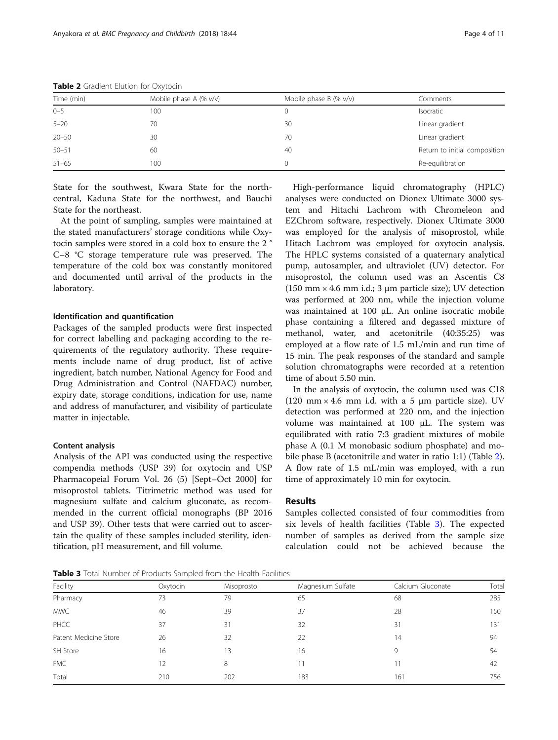| Time (min) | Mobile phase A $(\% v/v)$ | Mobile phase $B(% v/v)$ | Comments                      |
|------------|---------------------------|-------------------------|-------------------------------|
| $0 - 5$    | 100                       | Λ.                      | Isocratic                     |
| $5 - 20$   | 70                        | 30                      | Linear gradient               |
| $20 - 50$  | 30                        | 70                      | Linear gradient               |
| $50 - 51$  | 60                        | 40                      | Return to initial composition |
| $51 - 65$  | 100                       |                         | Re-equilibration              |

Table 2 Gradient Elution for Oxytocin

State for the southwest, Kwara State for the northcentral, Kaduna State for the northwest, and Bauchi State for the northeast.

At the point of sampling, samples were maintained at the stated manufacturers' storage conditions while Oxytocin samples were stored in a cold box to ensure the 2 ° C–8 °C storage temperature rule was preserved. The temperature of the cold box was constantly monitored and documented until arrival of the products in the laboratory.

## Identification and quantification

Packages of the sampled products were first inspected for correct labelling and packaging according to the requirements of the regulatory authority. These requirements include name of drug product, list of active ingredient, batch number, National Agency for Food and Drug Administration and Control (NAFDAC) number, expiry date, storage conditions, indication for use, name and address of manufacturer, and visibility of particulate matter in injectable.

#### Content analysis

Analysis of the API was conducted using the respective compendia methods (USP 39) for oxytocin and USP Pharmacopeial Forum Vol. 26 (5) [Sept–Oct 2000] for misoprostol tablets. Titrimetric method was used for magnesium sulfate and calcium gluconate, as recommended in the current official monographs (BP 2016 and USP 39). Other tests that were carried out to ascertain the quality of these samples included sterility, identification, pH measurement, and fill volume.

High-performance liquid chromatography (HPLC) analyses were conducted on Dionex Ultimate 3000 system and Hitachi Lachrom with Chromeleon and EZChrom software, respectively. Dionex Ultimate 3000 was employed for the analysis of misoprostol, while Hitach Lachrom was employed for oxytocin analysis. The HPLC systems consisted of a quaternary analytical pump, autosampler, and ultraviolet (UV) detector. For misoprostol, the column used was an Ascentis C8 (150 mm  $\times$  4.6 mm i.d.; 3 µm particle size); UV detection was performed at 200 nm, while the injection volume was maintained at 100 μL. An online isocratic mobile phase containing a filtered and degassed mixture of methanol, water, and acetonitrile (40:35:25) was employed at a flow rate of 1.5 mL/min and run time of 15 min. The peak responses of the standard and sample solution chromatographs were recorded at a retention time of about 5.50 min.

In the analysis of oxytocin, the column used was C18 (120 mm  $\times$  4.6 mm i.d. with a 5 µm particle size). UV detection was performed at 220 nm, and the injection volume was maintained at 100 μL. The system was equilibrated with ratio 7:3 gradient mixtures of mobile phase A (0.1 M monobasic sodium phosphate) and mobile phase B (acetonitrile and water in ratio 1:1) (Table 2). A flow rate of 1.5 mL/min was employed, with a run time of approximately 10 min for oxytocin.

## Results

Samples collected consisted of four commodities from six levels of health facilities (Table 3). The expected number of samples as derived from the sample size calculation could not be achieved because the

Table 3 Total Number of Products Sampled from the Health Facilities

| Facility              | Oxytocin | Misoprostol | Magnesium Sulfate | Calcium Gluconate | Total |
|-----------------------|----------|-------------|-------------------|-------------------|-------|
| Pharmacy              | 73       | 79          | 65                | 68                | 285   |
| <b>MWC</b>            | 46       | 39          | 37                | 28                | 150   |
| <b>PHCC</b>           | 37       | 31          | 32                | 31                | 131   |
| Patent Medicine Store | 26       | 32          | 22                | 14                | 94    |
| SH Store              | 16       | 13          | 16                | Q                 | 54    |
| <b>FMC</b>            | 12       | 8           |                   |                   | 42    |
| Total                 | 210      | 202         | 183               | 161               | 756   |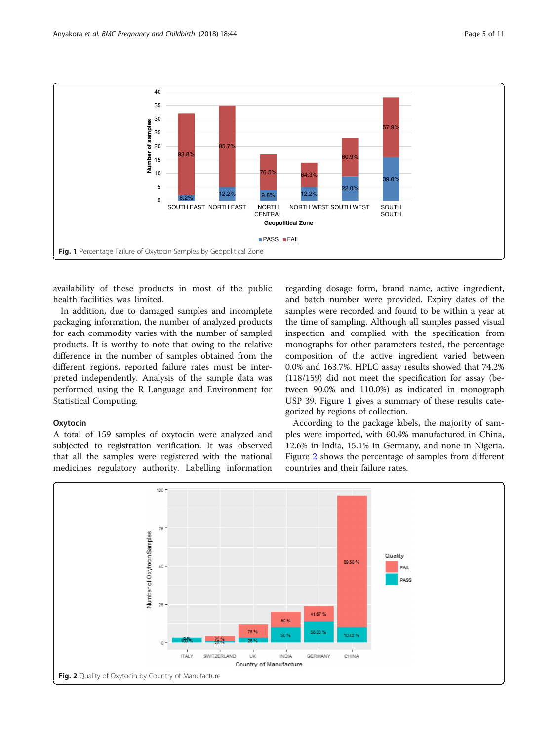

availability of these products in most of the public health facilities was limited.

In addition, due to damaged samples and incomplete packaging information, the number of analyzed products for each commodity varies with the number of sampled products. It is worthy to note that owing to the relative difference in the number of samples obtained from the different regions, reported failure rates must be interpreted independently. Analysis of the sample data was performed using the R Language and Environment for Statistical Computing.

## Oxytocin

A total of 159 samples of oxytocin were analyzed and subjected to registration verification. It was observed that all the samples were registered with the national medicines regulatory authority. Labelling information

regarding dosage form, brand name, active ingredient, and batch number were provided. Expiry dates of the samples were recorded and found to be within a year at the time of sampling. Although all samples passed visual inspection and complied with the specification from monographs for other parameters tested, the percentage composition of the active ingredient varied between 0.0% and 163.7%. HPLC assay results showed that 74.2% (118/159) did not meet the specification for assay (between 90.0% and 110.0%) as indicated in monograph USP 39. Figure 1 gives a summary of these results categorized by regions of collection.

According to the package labels, the majority of samples were imported, with 60.4% manufactured in China, 12.6% in India, 15.1% in Germany, and none in Nigeria. Figure 2 shows the percentage of samples from different countries and their failure rates.

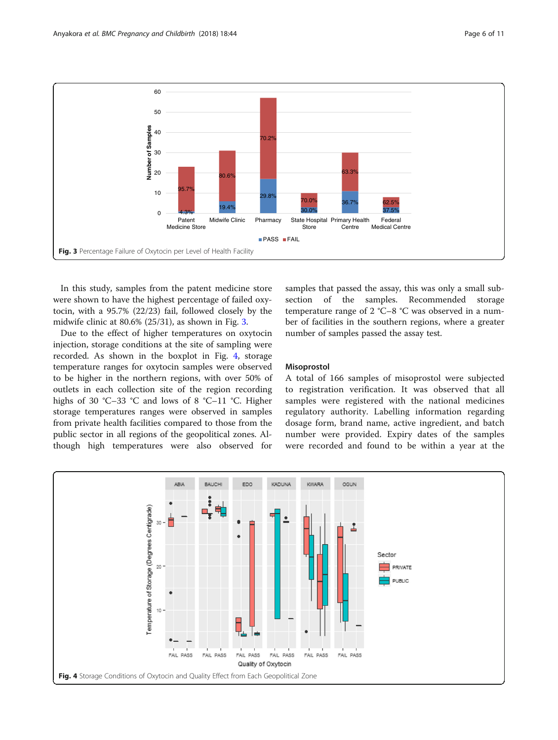<span id="page-5-0"></span>

In this study, samples from the patent medicine store were shown to have the highest percentage of failed oxytocin, with a 95.7% (22/23) fail, followed closely by the midwife clinic at 80.6% (25/31), as shown in Fig. 3.

Due to the effect of higher temperatures on oxytocin injection, storage conditions at the site of sampling were recorded. As shown in the boxplot in Fig. 4, storage temperature ranges for oxytocin samples were observed to be higher in the northern regions, with over 50% of outlets in each collection site of the region recording highs of 30 °C–33 °C and lows of 8 °C–11 °C. Higher storage temperatures ranges were observed in samples from private health facilities compared to those from the public sector in all regions of the geopolitical zones. Although high temperatures were also observed for

samples that passed the assay, this was only a small subsection of the samples. Recommended storage temperature range of 2 °C–8 °C was observed in a number of facilities in the southern regions, where a greater number of samples passed the assay test.

#### Misoprostol

A total of 166 samples of misoprostol were subjected to registration verification. It was observed that all samples were registered with the national medicines regulatory authority. Labelling information regarding dosage form, brand name, active ingredient, and batch number were provided. Expiry dates of the samples were recorded and found to be within a year at the

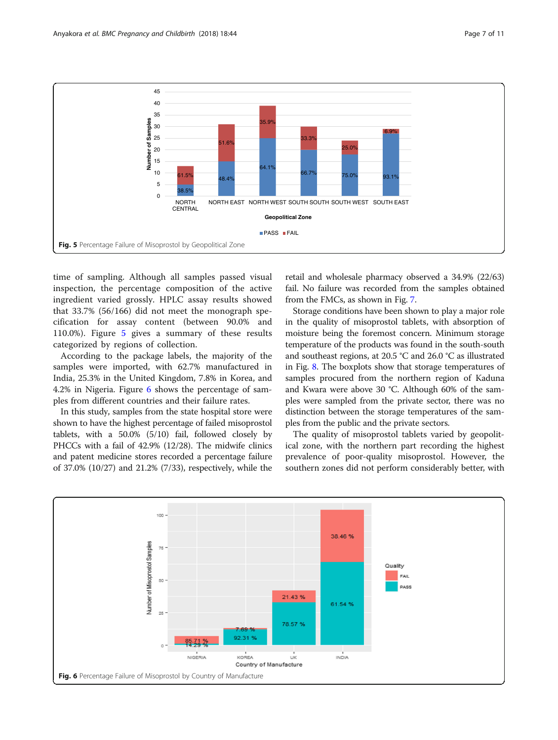

time of sampling. Although all samples passed visual inspection, the percentage composition of the active ingredient varied grossly. HPLC assay results showed that 33.7% (56/166) did not meet the monograph specification for assay content (between 90.0% and 110.0%). Figure 5 gives a summary of these results categorized by regions of collection.

According to the package labels, the majority of the samples were imported, with 62.7% manufactured in India, 25.3% in the United Kingdom, 7.8% in Korea, and 4.2% in Nigeria. Figure 6 shows the percentage of samples from different countries and their failure rates.

In this study, samples from the state hospital store were shown to have the highest percentage of failed misoprostol tablets, with a 50.0% (5/10) fail, followed closely by PHCCs with a fail of 42.9% (12/28). The midwife clinics and patent medicine stores recorded a percentage failure of 37.0% (10/27) and 21.2% (7/33), respectively, while the retail and wholesale pharmacy observed a 34.9% (22/63) fail. No failure was recorded from the samples obtained from the FMCs, as shown in Fig. [7.](#page-7-0)

Storage conditions have been shown to play a major role in the quality of misoprostol tablets, with absorption of moisture being the foremost concern. Minimum storage temperature of the products was found in the south-south and southeast regions, at 20.5 °C and 26.0 °C as illustrated in Fig. [8](#page-7-0). The boxplots show that storage temperatures of samples procured from the northern region of Kaduna and Kwara were above 30 °C. Although 60% of the samples were sampled from the private sector, there was no distinction between the storage temperatures of the samples from the public and the private sectors.

The quality of misoprostol tablets varied by geopolitical zone, with the northern part recording the highest prevalence of poor-quality misoprostol. However, the southern zones did not perform considerably better, with

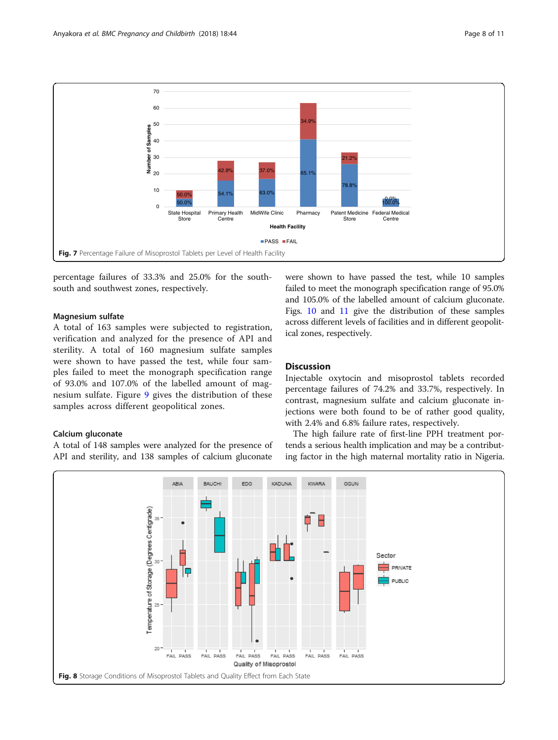<span id="page-7-0"></span>

percentage failures of 33.3% and 25.0% for the southsouth and southwest zones, respectively.

## Magnesium sulfate

A total of 163 samples were subjected to registration, verification and analyzed for the presence of API and sterility. A total of 160 magnesium sulfate samples were shown to have passed the test, while four samples failed to meet the monograph specification range of 93.0% and 107.0% of the labelled amount of magnesium sulfate. Figure [9](#page-8-0) gives the distribution of these samples across different geopolitical zones.

## Calcium gluconate

A total of 148 samples were analyzed for the presence of API and sterility, and 138 samples of calcium gluconate were shown to have passed the test, while 10 samples failed to meet the monograph specification range of 95.0% and 105.0% of the labelled amount of calcium gluconate. Figs. [10](#page-8-0) and [11](#page-9-0) give the distribution of these samples across different levels of facilities and in different geopolitical zones, respectively.

## **Discussion**

Injectable oxytocin and misoprostol tablets recorded percentage failures of 74.2% and 33.7%, respectively. In contrast, magnesium sulfate and calcium gluconate injections were both found to be of rather good quality, with 2.4% and 6.8% failure rates, respectively.

The high failure rate of first-line PPH treatment portends a serious health implication and may be a contributing factor in the high maternal mortality ratio in Nigeria.

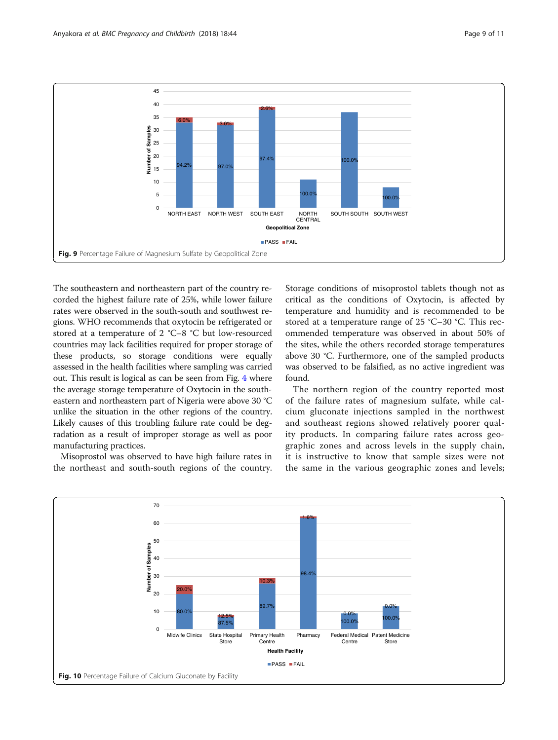<span id="page-8-0"></span>

The southeastern and northeastern part of the country recorded the highest failure rate of 25%, while lower failure rates were observed in the south-south and southwest regions. WHO recommends that oxytocin be refrigerated or stored at a temperature of 2 °C–8 °C but low-resourced countries may lack facilities required for proper storage of these products, so storage conditions were equally assessed in the health facilities where sampling was carried out. This result is logical as can be seen from Fig. [4](#page-5-0) where the average storage temperature of Oxytocin in the southeastern and northeastern part of Nigeria were above 30 °C unlike the situation in the other regions of the country. Likely causes of this troubling failure rate could be degradation as a result of improper storage as well as poor manufacturing practices.

Misoprostol was observed to have high failure rates in the northeast and south-south regions of the country. Storage conditions of misoprostol tablets though not as critical as the conditions of Oxytocin, is affected by temperature and humidity and is recommended to be stored at a temperature range of 25 °C–30 °C. This recommended temperature was observed in about 50% of the sites, while the others recorded storage temperatures above 30 °C. Furthermore, one of the sampled products was observed to be falsified, as no active ingredient was found.

The northern region of the country reported most of the failure rates of magnesium sulfate, while calcium gluconate injections sampled in the northwest and southeast regions showed relatively poorer quality products. In comparing failure rates across geographic zones and across levels in the supply chain, it is instructive to know that sample sizes were not the same in the various geographic zones and levels;

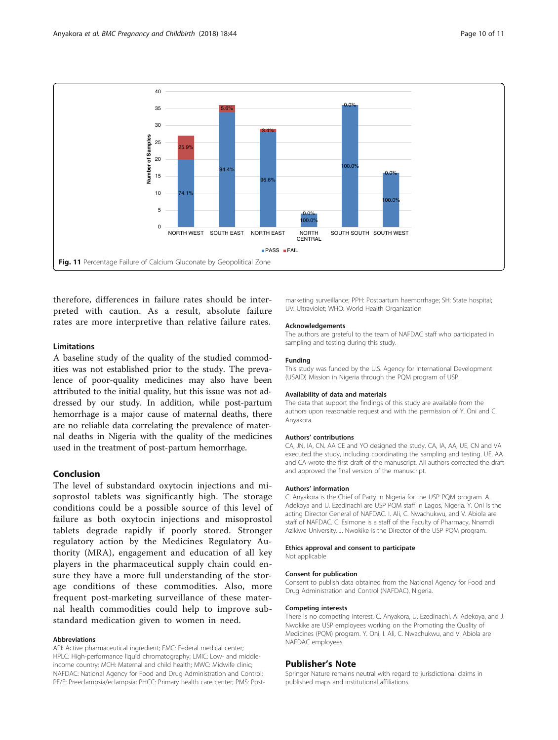<span id="page-9-0"></span>

therefore, differences in failure rates should be interpreted with caution. As a result, absolute failure rates are more interpretive than relative failure rates.

## Limitations

A baseline study of the quality of the studied commodities was not established prior to the study. The prevalence of poor-quality medicines may also have been attributed to the initial quality, but this issue was not addressed by our study. In addition, while post-partum hemorrhage is a major cause of maternal deaths, there are no reliable data correlating the prevalence of maternal deaths in Nigeria with the quality of the medicines used in the treatment of post-partum hemorrhage.

## Conclusion

The level of substandard oxytocin injections and misoprostol tablets was significantly high. The storage conditions could be a possible source of this level of failure as both oxytocin injections and misoprostol tablets degrade rapidly if poorly stored. Stronger regulatory action by the Medicines Regulatory Authority (MRA), engagement and education of all key players in the pharmaceutical supply chain could ensure they have a more full understanding of the storage conditions of these commodities. Also, more frequent post-marketing surveillance of these maternal health commodities could help to improve substandard medication given to women in need.

#### Abbreviations

API: Active pharmaceutical ingredient; FMC: Federal medical center; HPLC: High-performance liquid chromatography; LMIC: Low- and middleincome country; MCH: Maternal and child health; MWC: Midwife clinic; NAFDAC: National Agency for Food and Drug Administration and Control; PE/E: Preeclampsia/eclampsia; PHCC: Primary health care center; PMS: Post-

marketing surveillance; PPH: Postpartum haemorrhage; SH: State hospital; UV: Ultraviolet; WHO: World Health Organization

#### Acknowledgements

The authors are grateful to the team of NAFDAC staff who participated in sampling and testing during this study.

#### Funding

This study was funded by the U.S. Agency for International Development (USAID) Mission in Nigeria through the PQM program of USP.

#### Availability of data and materials

The data that support the findings of this study are available from the authors upon reasonable request and with the permission of Y. Oni and C. Anyakora.

### Authors' contributions

CA, JN, IA, CN. AA CE and YO designed the study. CA, IA, AA, UE, CN and VA executed the study, including coordinating the sampling and testing. UE, AA and CA wrote the first draft of the manuscript. All authors corrected the draft and approved the final version of the manuscript.

#### Authors' information

C. Anyakora is the Chief of Party in Nigeria for the USP PQM program. A. Adekoya and U. Ezedinachi are USP PQM staff in Lagos, Nigeria. Y. Oni is the acting Director General of NAFDAC. I. Ali, C. Nwachukwu, and V. Abiola are staff of NAFDAC. C. Esimone is a staff of the Faculty of Pharmacy, Nnamdi Azikiwe University. J. Nwokike is the Director of the USP PQM program.

#### Ethics approval and consent to participate

Not applicable

#### Consent for publication

Consent to publish data obtained from the National Agency for Food and Drug Administration and Control (NAFDAC), Nigeria.

#### Competing interests

There is no competing interest. C. Anyakora, U. Ezedinachi, A. Adekoya, and J. Nwokike are USP employees working on the Promoting the Quality of Medicines (PQM) program. Y. Oni, I. Ali, C. Nwachukwu, and V. Abiola are NAFDAC employees.

#### Publisher's Note

Springer Nature remains neutral with regard to jurisdictional claims in published maps and institutional affiliations.